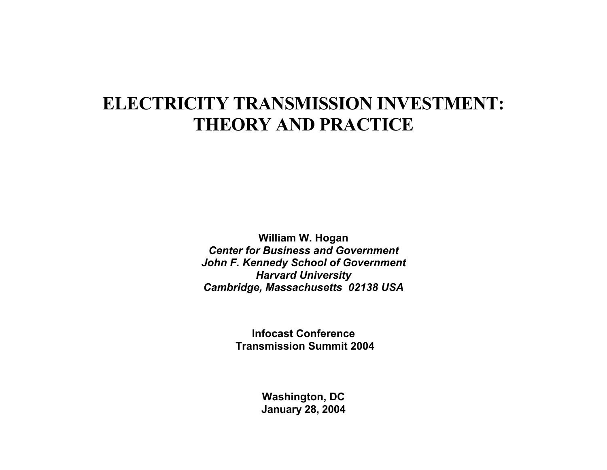# **ELECTRICITY TRANSMISSION INVESTMENT: THEORY AND PRACTICE**

**William W. Hogan**  *Center for Business and Government John F. Kennedy School of Government Harvard University Cambridge, Massachusetts 02138 USA*

> **Infocast Conference Transmission Summit 2004**

> > **Washington, DC January 28, 2004**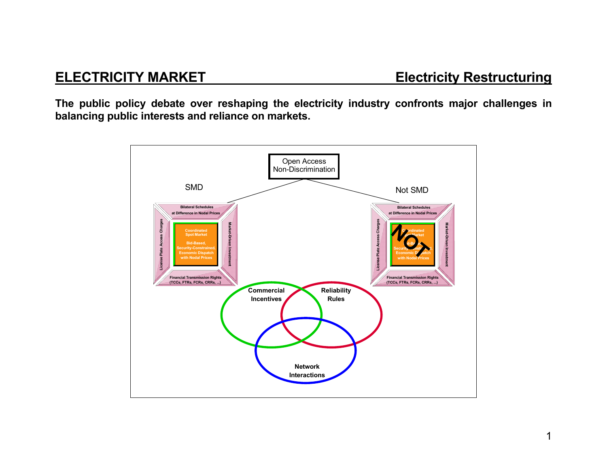**The public policy debate over reshaping the electricity industry confronts major challenges in balancing public interests and reliance on markets.** 

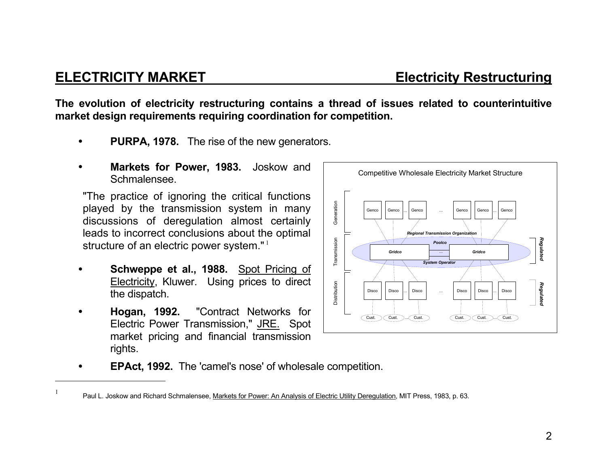### **ELECTRICITY MARKET Electricity Restructuring**

**The evolution of electricity restructuring contains a thread of issues related to counterintuitive market design requirements requiring coordination for competition.** 

- • **PURPA, 1978.** The rise of the new generators.
- • **Markets for Power, 1983.** Joskow and Schmalensee.

"The practice of ignoring the critical functions played by the transmission system in many discussions of deregulation almost certainly leads to incorrect conclusions about the optimal structure of an electric power system."<sup>1</sup>

- • **Schweppe et al., 1988.** Spot Pricing of Electricity, Kluwer. Using prices to direct the dispatch.
- • **Hogan, 1992.** "Contract Networks for Electric Power Transmission," JRE. Spot market pricing and financial transmission rights.
	- **EPAct, 1992.** The 'camel's nose' of wholesale competition.



<sup>&</sup>lt;sup>1</sup> Paul L. Joskow and Richard Schmalensee, Markets for Power: An Analysis of Electric Utility Deregulation, MIT Press, 1983, p. 63.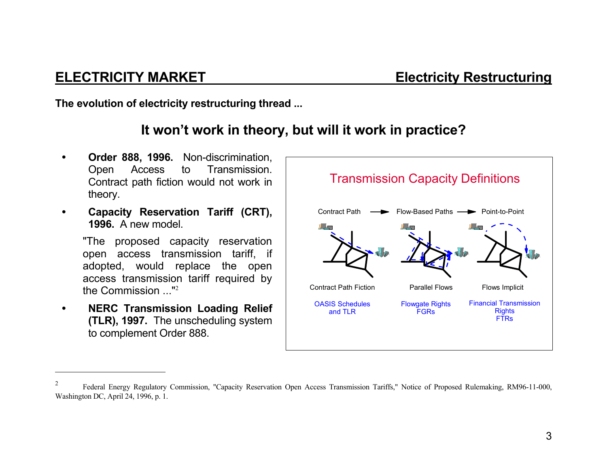**The evolution of electricity restructuring thread ...** 

# **It won't work in theory, but will it work in practice?**

- • **Order 888, 1996.** Non-discrimination, Open Access to Transmission. Contract path fiction would not work in theory.
- • **Capacity Reservation Tariff (CRT), 1996.** A new model.

"The proposed capacity reservation open access transmission tariff, if adopted, would replace the open access transmission tariff required by the Commission ..."<sup>2</sup>

• **NERC Transmission Loading Relief (TLR), 1997.** The unscheduling system to complement Order 888.



<sup>2</sup> Federal Energy Regulatory Commission, "Capacity Reservation Open Access Transmission Tariffs," Notice of Proposed Rulemaking, RM96-11-000, Washington DC, April 24, 1996, p. 1.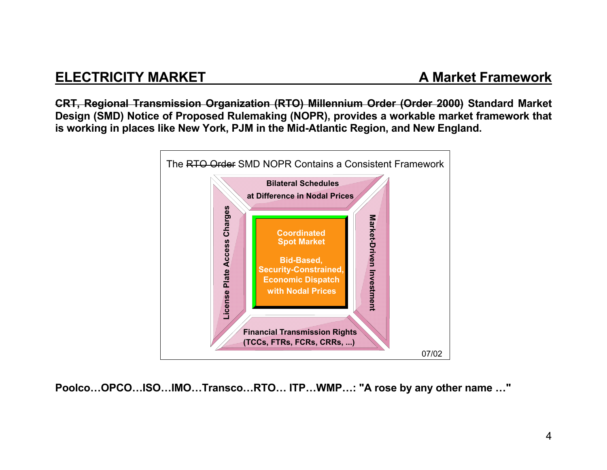# **ELECTRICITY MARKET**

**CRT, Regional Transmission Organization (RTO) Millennium Order (Order 2000) Standard Market Design (SMD) Notice of Proposed Rulemaking (NOPR), provides a workable market framework that is working in places like New York, PJM in the Mid-Atlantic Region, and New England.** 



**Poolco…OPCO…ISO…IMO…Transco…RTO… ITP…WMP…: "A rose by any other name …"**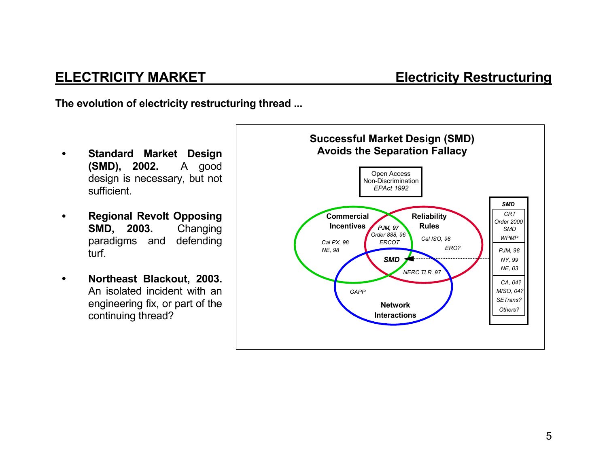**The evolution of electricity restructuring thread ...** 

- • **Standard Market Design (SMD), 2002.** A good design is necessary, but not sufficient.
- • **Regional Revolt Opposing SMD, 2003.** Changing paradigms and defending turf.
- • **Northeast Blackout, 2003.** An isolated incident with an engineering fix, or part of the continuing thread?

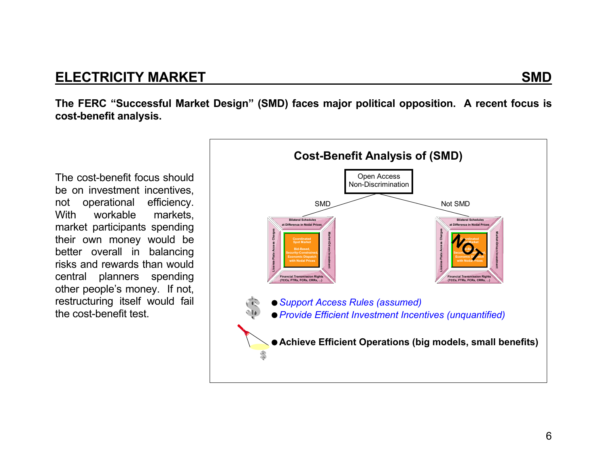# **ELECTRICITY MARKET SMD**

**The FERC "Successful Market Design" (SMD) faces major political opposition. A recent focus is cost-benefit analysis.**

The cost-benefit focus should be on investment incentives, not operational efficiency. With workable markets, market participants spending their own money would be better overall in balancing risks and rewards than would central planners spending other people's money. If not, restructuring itself would fail the cost-benefit test.

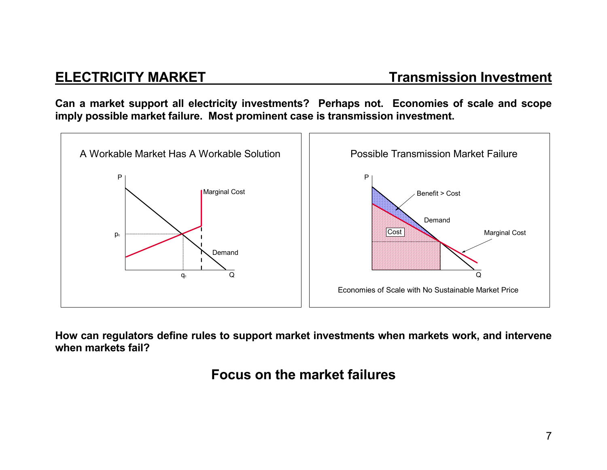**Can a market support all electricity investments? Perhaps not. Economies of scale and scope imply possible market failure. Most prominent case is transmission investment.** 



**How can regulators define rules to support market investments when markets work, and intervene when markets fail?** 

**Focus on the market failures**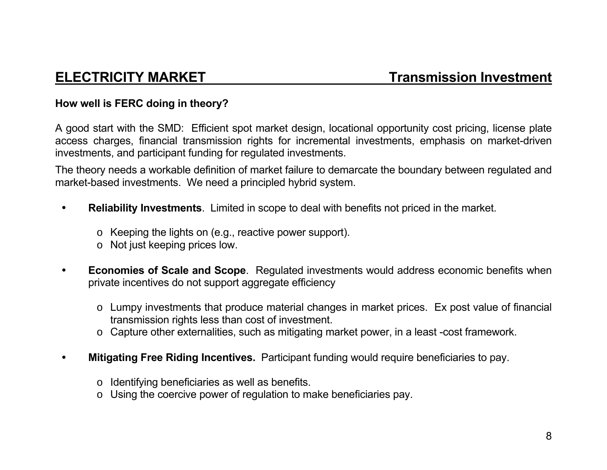### **How well is FERC doing in theory?**

A good start with the SMD: Efficient spot market design, locational opportunity cost pricing, license plate access charges, financial transmission rights for incremental investments, emphasis on market-driven investments, and participant funding for regulated investments.

The theory needs a workable definition of market failure to demarcate the boundary between regulated and market-based investments. We need a principled hybrid system.

- • **Reliability Investments**. Limited in scope to deal with benefits not priced in the market.
	- <sup>o</sup> Keeping the lights on (e.g., reactive power support).
	- <sup>o</sup> Not just keeping prices low.
- • **Economies of Scale and Scope**. Regulated investments would address economic benefits when private incentives do not support aggregate efficiency
	- <sup>o</sup> Lumpy investments that produce material changes in market prices. Ex post value of financial transmission rights less than cost of investment.
	- <sup>o</sup> Capture other externalities, such as mitigating market power, in a least -cost framework.
- • **Mitigating Free Riding Incentives.** Participant funding would require beneficiaries to pay.
	- <sup>o</sup> Identifying beneficiaries as well as benefits.
	- o Using the coercive power of regulation to make beneficiaries pay.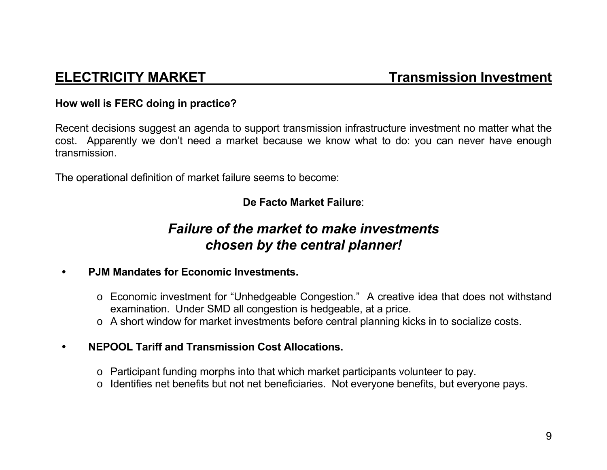### **How well is FERC doing in practice?**

Recent decisions suggest an agenda to support transmission infrastructure investment no matter what the cost. Apparently we don't need a market because we know what to do: you can never have enough transmission.

The operational definition of market failure seems to become:

### **De Facto Market Failure**:

# *Failure of the market to make investments chosen by the central planner!*

### • **PJM Mandates for Economic Investments.**

- <sup>o</sup> Economic investment for "Unhedgeable Congestion." A creative idea that does not withstand examination. Under SMD all congestion is hedgeable, at a price.
- <sup>o</sup> A short window for market investments before central planning kicks in to socialize costs.
- • **NEPOOL Tariff and Transmission Cost Allocations.** 
	- <sup>o</sup> Participant funding morphs into that which market participants volunteer to pay.
	- o Identifies net benefits but not net beneficiaries. Not everyone benefits, but everyone pays.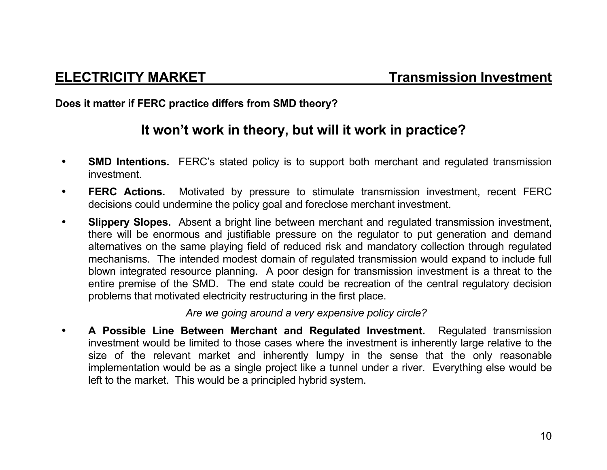**Does it matter if FERC practice differs from SMD theory?** 

# **It won't work in theory, but will it work in practice?**

- •**SMD Intentions.** FERC's stated policy is to support both merchant and regulated transmission investment.
- $\bullet$  **FERC Actions.** Motivated by pressure to stimulate transmission investment, recent FERC decisions could undermine the policy goal and foreclose merchant investment.
- $\bullet$  **Slippery Slopes.** Absent a bright line between merchant and regulated transmission investment, there will be enormous and justifiable pressure on the regulator to put generation and demand alternatives on the same playing field of reduced risk and mandatory collection through regulated mechanisms. The intended modest domain of regulated transmission would expand to include full blown integrated resource planning. A poor design for transmission investment is a threat to the entire premise of the SMD. The end state could be recreation of the central regulatory decision problems that motivated electricity restructuring in the first place.

*Are we going around a very expensive policy circle?*

 $\bullet$  **A Possible Line Between Merchant and Regulated Investment.** Regulated transmission investment would be limited to those cases where the investment is inherently large relative to the size of the relevant market and inherently lumpy in the sense that the only reasonable implementation would be as a single project like a tunnel under a river. Everything else would be left to the market. This would be a principled hybrid system.